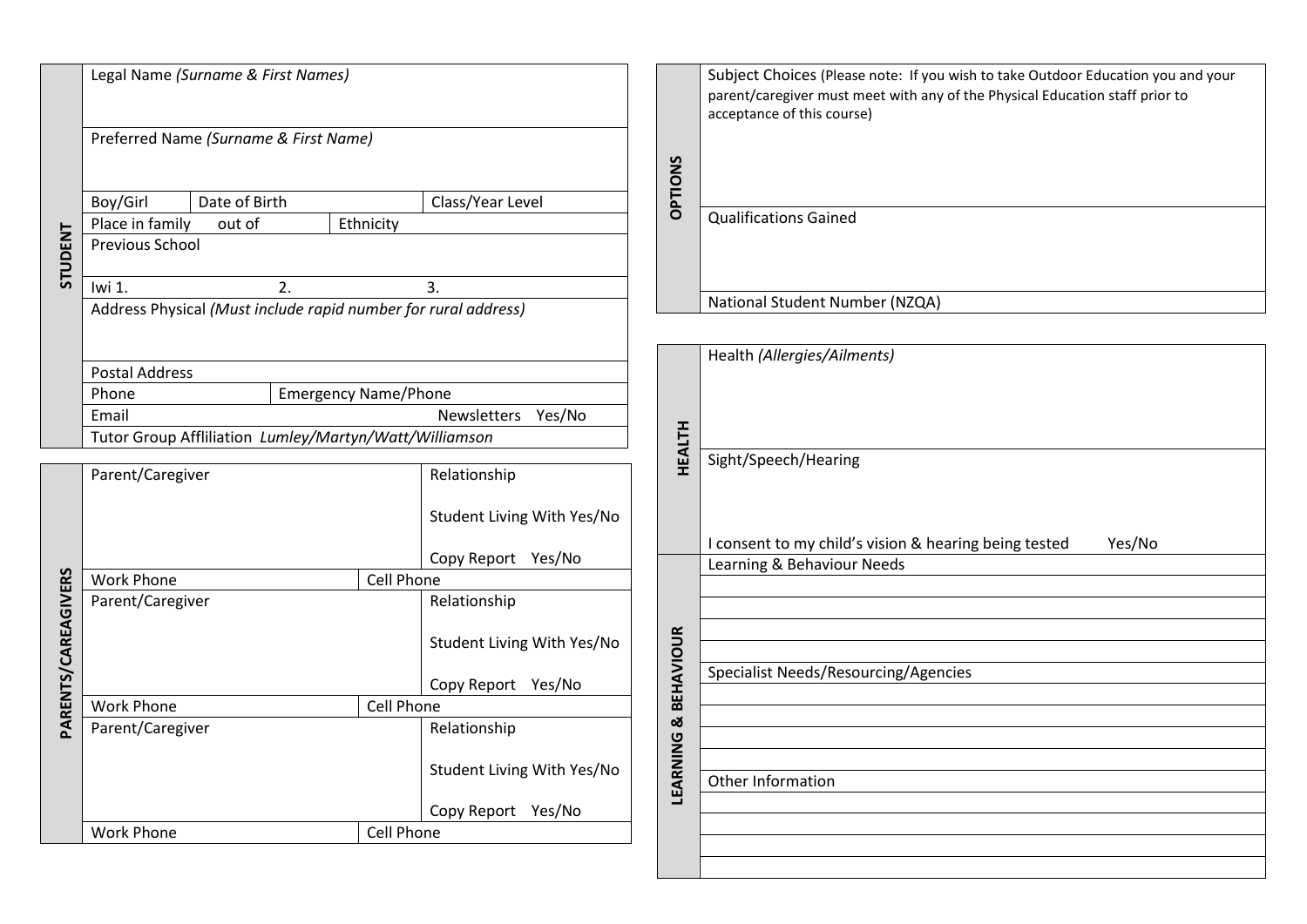| STUDENT             | Legal Name (Surname & First Names)                             |  |                            |                                                                  |  |                              | Subject Choices (Please note: If you wish to take Outdoor Education you and your<br>parent/caregiver must meet with any of the Physical Education staff prior to<br>acceptance of this course) |  |  |  |
|---------------------|----------------------------------------------------------------|--|----------------------------|------------------------------------------------------------------|--|------------------------------|------------------------------------------------------------------------------------------------------------------------------------------------------------------------------------------------|--|--|--|
|                     | Preferred Name (Surname & First Name)                          |  |                            |                                                                  |  |                              |                                                                                                                                                                                                |  |  |  |
|                     |                                                                |  |                            |                                                                  |  |                              |                                                                                                                                                                                                |  |  |  |
|                     |                                                                |  |                            |                                                                  |  |                              |                                                                                                                                                                                                |  |  |  |
|                     | Boy/Girl<br>Date of Birth                                      |  |                            | Class/Year Level                                                 |  | <b>OPTIONS</b>               |                                                                                                                                                                                                |  |  |  |
|                     | Place in family<br>Ethnicity<br>out of                         |  |                            |                                                                  |  | <b>Qualifications Gained</b> |                                                                                                                                                                                                |  |  |  |
|                     | Previous School                                                |  |                            |                                                                  |  |                              |                                                                                                                                                                                                |  |  |  |
|                     |                                                                |  |                            |                                                                  |  |                              |                                                                                                                                                                                                |  |  |  |
|                     | Iwi 1.<br>$\overline{2}$ .<br>3.                               |  |                            |                                                                  |  |                              |                                                                                                                                                                                                |  |  |  |
|                     | Address Physical (Must include rapid number for rural address) |  |                            |                                                                  |  |                              | National Student Number (NZQA)                                                                                                                                                                 |  |  |  |
|                     |                                                                |  |                            |                                                                  |  |                              |                                                                                                                                                                                                |  |  |  |
|                     |                                                                |  |                            |                                                                  |  |                              | Health (Allergies/Ailments)                                                                                                                                                                    |  |  |  |
|                     | <b>Postal Address</b>                                          |  |                            |                                                                  |  |                              |                                                                                                                                                                                                |  |  |  |
|                     | <b>Emergency Name/Phone</b><br>Phone                           |  |                            |                                                                  |  |                              |                                                                                                                                                                                                |  |  |  |
|                     | Newsletters Yes/No<br>Email                                    |  |                            |                                                                  |  |                              |                                                                                                                                                                                                |  |  |  |
|                     | Tutor Group Affliliation Lumley/Martyn/Watt/Williamson         |  |                            |                                                                  |  | <b>HEALTH</b>                |                                                                                                                                                                                                |  |  |  |
|                     |                                                                |  |                            |                                                                  |  | Sight/Speech/Hearing         |                                                                                                                                                                                                |  |  |  |
|                     | Parent/Caregiver                                               |  |                            | Relationship                                                     |  |                              |                                                                                                                                                                                                |  |  |  |
|                     |                                                                |  |                            |                                                                  |  |                              |                                                                                                                                                                                                |  |  |  |
|                     |                                                                |  | Student Living With Yes/No |                                                                  |  |                              |                                                                                                                                                                                                |  |  |  |
|                     |                                                                |  |                            | Copy Report Yes/No                                               |  |                              | I consent to my child's vision & hearing being tested<br>Yes/No                                                                                                                                |  |  |  |
| PARENTS/CAREAGIVERS |                                                                |  |                            |                                                                  |  |                              | Learning & Behaviour Needs                                                                                                                                                                     |  |  |  |
|                     | <b>Work Phone</b><br>Parent/Caregiver                          |  |                            | Cell Phone<br>Relationship<br>Student Living With Yes/No         |  |                              |                                                                                                                                                                                                |  |  |  |
|                     |                                                                |  |                            |                                                                  |  |                              |                                                                                                                                                                                                |  |  |  |
|                     |                                                                |  |                            |                                                                  |  |                              |                                                                                                                                                                                                |  |  |  |
|                     |                                                                |  |                            |                                                                  |  |                              |                                                                                                                                                                                                |  |  |  |
|                     |                                                                |  | Copy Report Yes/No         |                                                                  |  | <b>BEHAVIOUR</b>             | Specialist Needs/Resourcing/Agencies                                                                                                                                                           |  |  |  |
|                     | <b>Work Phone</b><br>Cell Phone                                |  |                            |                                                                  |  |                              |                                                                                                                                                                                                |  |  |  |
|                     | Parent/Caregiver                                               |  |                            | Relationship<br>Student Living With Yes/No<br>Copy Report Yes/No |  | ळ                            |                                                                                                                                                                                                |  |  |  |
|                     |                                                                |  |                            |                                                                  |  |                              |                                                                                                                                                                                                |  |  |  |
|                     |                                                                |  |                            |                                                                  |  |                              |                                                                                                                                                                                                |  |  |  |
|                     |                                                                |  |                            |                                                                  |  | LEARNING                     | Other Information                                                                                                                                                                              |  |  |  |
|                     |                                                                |  |                            |                                                                  |  |                              |                                                                                                                                                                                                |  |  |  |
|                     | <b>Work Phone</b><br>Cell Phone                                |  |                            |                                                                  |  |                              |                                                                                                                                                                                                |  |  |  |
|                     |                                                                |  |                            |                                                                  |  |                              |                                                                                                                                                                                                |  |  |  |